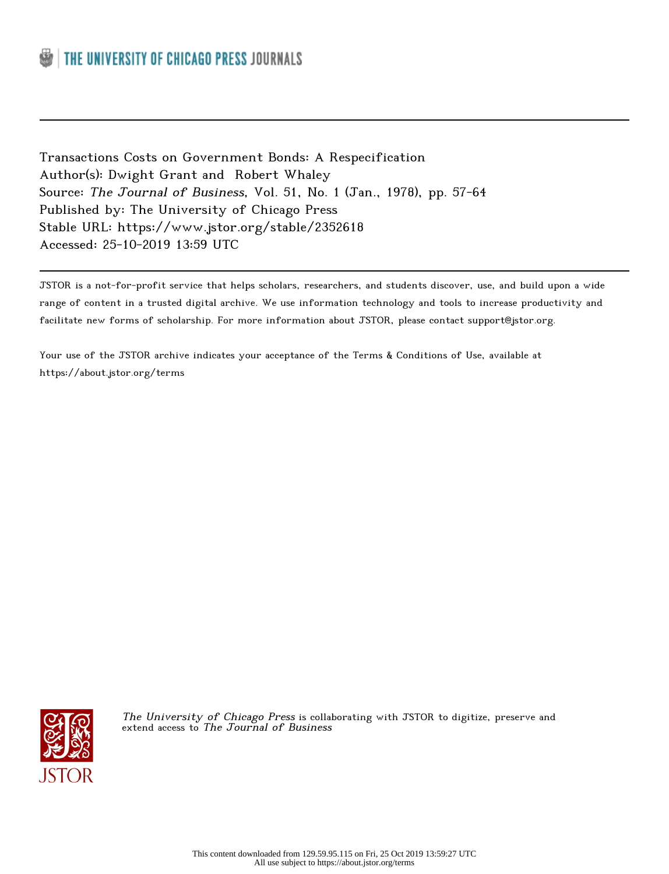Transactions Costs on Government Bonds: A Respecification Author(s): Dwight Grant and Robert Whaley Source: The Journal of Business, Vol. 51, No. 1 (Jan., 1978), pp. 57-64 Published by: The University of Chicago Press Stable URL: https://www.jstor.org/stable/2352618 Accessed: 25-10-2019 13:59 UTC

JSTOR is a not-for-profit service that helps scholars, researchers, and students discover, use, and build upon a wide range of content in a trusted digital archive. We use information technology and tools to increase productivity and facilitate new forms of scholarship. For more information about JSTOR, please contact support@jstor.org.

Your use of the JSTOR archive indicates your acceptance of the Terms & Conditions of Use, available at https://about.jstor.org/terms



The University of Chicago Press is collaborating with JSTOR to digitize, preserve and extend access to The Journal of Business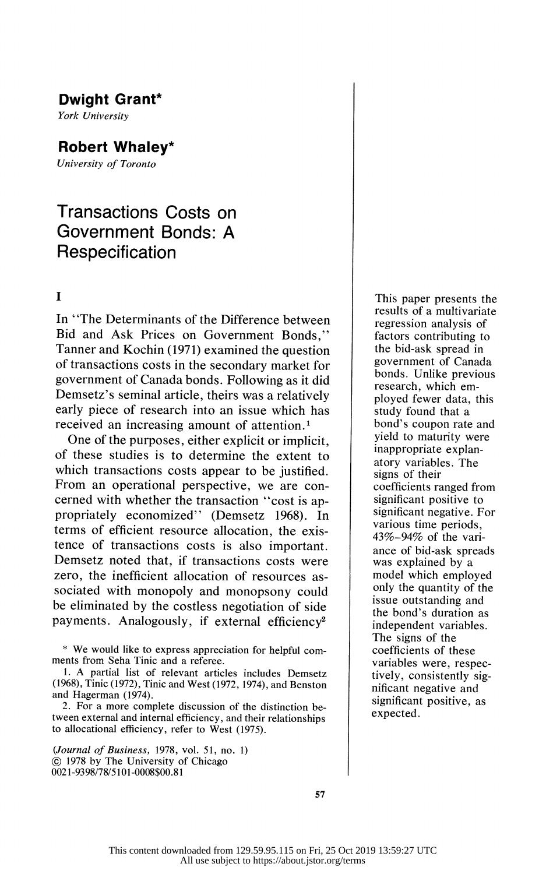# Dwight Grant\*

York University

## Robert Whaley\*

University of Toronto

# Transactions Costs on Government Bonds: A Respecification

## I

 In "The Determinants of the Difference between Bid and Ask Prices on Government Bonds," Tanner and Kochin (1971) examined the question of transactions costs in the secondary market for government of Canada bonds. Following as it did Demsetz's seminal article, theirs was a relatively early piece of research into an issue which has received an increasing amount of attention.<sup>1</sup>

 One of the purposes, either explicit or implicit, of these studies is to determine the extent to which transactions costs appear to be justified. From an operational perspective, we are con cerned with whether the transaction "cost is ap propriately economized" (Demsetz 1968). In terms of efficient resource allocation, the exis tence of transactions costs is also important. Demsetz noted that, if transactions costs were zero, the inefficient allocation of resources as sociated with monopoly and monopsony could be eliminated by the costless negotiation of side payments. Analogously, if external efficiency<sup>2</sup>

 \* We would like to express appreciation for helpful com ments from Seha Tinic and a referee.

 1. A partial list of relevant articles includes Demsetz (1968), Tinic (1972), Tinic and West (1972, 1974), and Benston and Hagerman (1974).

 2. For a more complete discussion of the distinction be tween external and internal efficiency, and their relationships to allocational efficiency, refer to West (1975).

 (Journal of Business, 1978, vol. 51, no. 1) ? 1978 by The University of Chicago 0021-9398/78/5101-0008\$00.81

 This paper presents the results of a multivariate regression analysis of factors contributing to the bid-ask spread in government of Canada bonds. Unlike previous research, which em ployed fewer data, this study found that a bond's coupon rate and yield to maturity were inappropriate explan atory variables. The signs of their coefficients ranged from significant positive to significant negative. For various time periods, 43%-94% of the vari ance of bid-ask spreads was explained by a model which employed only the quantity of the issue outstanding and the bond's duration as independent variables. The signs of the coefficients of these variables were, respec tively, consistently sig nificant negative and significant positive, as expected.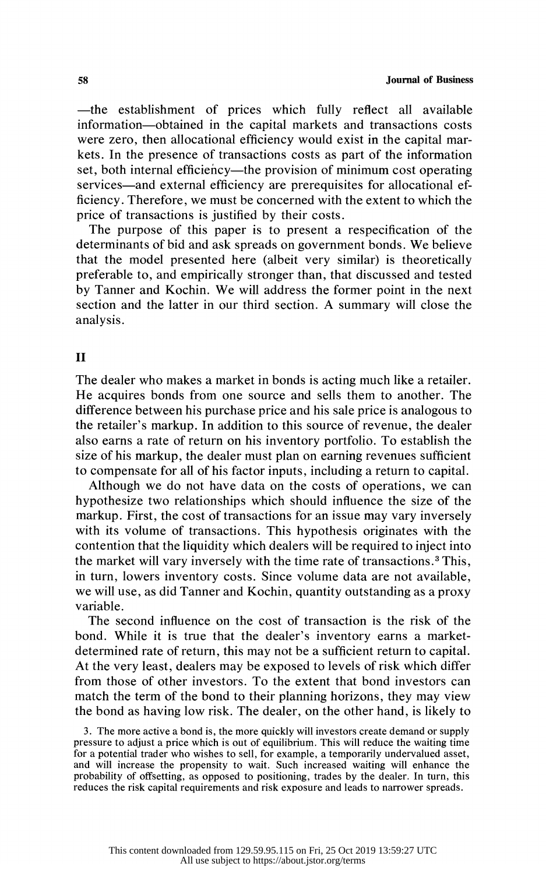-the establishment of prices which fully reflect all available information-obtained in the capital markets and transactions costs were zero, then allocational efficiency would exist in the capital mar kets. In the presence of transactions costs as part of the information set, both internal efficiency—the provision of minimum cost operating services—and external efficiency are prerequisites for allocational ef ficiency. Therefore, we must be concerned with the extent to which the price of transactions is justified by their costs.

 The purpose of this paper is to present a respecification of the determinants of bid and ask spreads on government bonds. We believe that the model presented here (albeit very similar) is theoretically preferable to, and empirically stronger than, that discussed and tested by Tanner and Kochin. We will address the former point in the next section and the latter in our third section. A summary will close the analysis.

## II

 The dealer who makes a market in bonds is acting much like a retailer. He acquires bonds from one source and sells them to another. The difference between his purchase price and his sale price is analogous to the retailer's markup. In addition to this source of revenue, the dealer also earns a rate of return on his inventory portfolio. To establish the size of his markup, the dealer must plan on earning revenues sufficient to compensate for all of his factor inputs, including a return to capital.

 Although we do not have data on the costs of operations, we can hypothesize two relationships which should influence the size of the markup. First, the cost of transactions for an issue may vary inversely with its volume of transactions. This hypothesis originates with the contention that the liquidity which dealers will be required to inject into the market will vary inversely with the time rate of transactions.3 This, in turn, lowers inventory costs. Since volume data are not available, we will use, as did Tanner and Kochin, quantity outstanding as a proxy variable.

 The second influence on the cost of transaction is the risk of the bond. While it is true that the dealer's inventory earns a market determined rate of return, this may not be a sufficient return to capital. At the very least, dealers may be exposed to levels of risk which differ from those of other investors. To the extent that bond investors can match the term of the bond to their planning horizons, they may view the bond as having low risk. The dealer, on the other hand, is likely to

 3. The more active a bond is, the more quickly will investors create demand or supply pressure to adjust a price which is out of equilibrium. This will reduce the waiting time for a potential trader who wishes to sell, for example, a temporarily undervalued asset, and will increase the propensity to wait. Such increased waiting will enhance the probability of offsetting, as opposed to positioning, trades by the dealer. In turn, this reduces the risk capital requirements and risk exposure and leads to narrower spreads.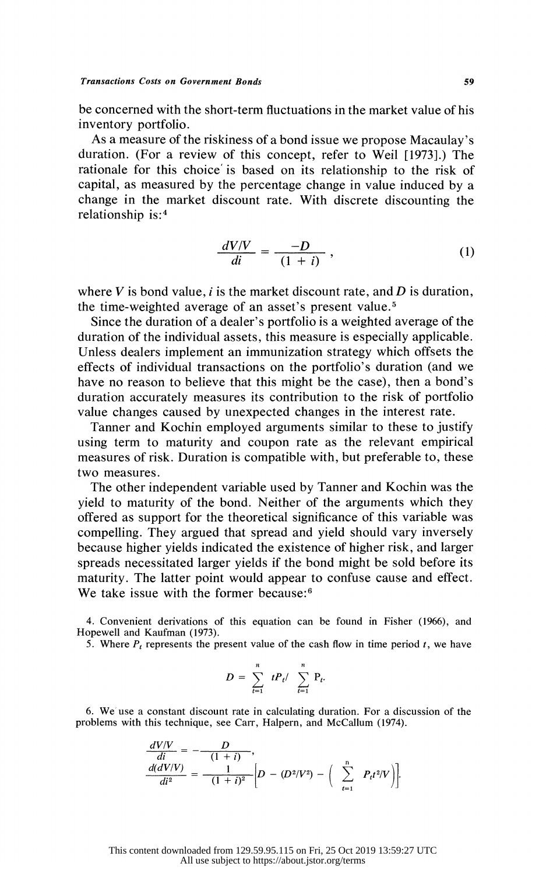be concerned with the short-term fluctuations in the market value of his inventory portfolio.

 As a measure of the riskiness of a bond issue we propose Macaulay's duration. (For a review of this concept, refer to Weil [1973].) The rationale for this choice is based on its relationship to the risk of capital, as measured by the percentage change in value induced by a change in the market discount rate. With discrete discounting the relationship is:4

$$
\frac{dV/V}{di} = \frac{-D}{(1+i)},\tag{1}
$$

where V is bond value, i is the market discount rate, and D is duration, the time-weighted average of an asset's present value.

 Since the duration of a dealer's portfolio is a weighted average of the duration of the individual assets, this measure is especially applicable. Unless dealers implement an immunization strategy which offsets the effects of individual transactions on the portfolio's duration (and we have no reason to believe that this might be the case), then a bond's duration accurately measures its contribution to the risk of portfolio value changes caused by unexpected changes in the interest rate.

 Tanner and Kochin employed arguments similar to these to justify using term to maturity and coupon rate as the relevant empirical measures of risk. Duration is compatible with, but preferable to, these two measures.

 The other independent variable used by Tanner and Kochin was the yield to maturity of the bond. Neither of the arguments which they offered as support for the theoretical significance of this variable was compelling. They argued that spread and yield should vary inversely because higher yields indicated the existence of higher risk, and larger spreads necessitated larger yields if the bond might be sold before its maturity. The latter point would appear to confuse cause and effect. We take issue with the former because:<sup>6</sup>

 4. Convenient derivations of this equation can be found in Fisher (1966), and Hopewell and Kaufman (1973).

5. Where  $P_t$  represents the present value of the cash flow in time period t, we have

$$
D = \sum_{t=1}^{n} t P_t / \sum_{t=1}^{n} P_t.
$$

 6. We use a constant discount rate in calculating duration. For a discussion of the problems with this technique, see Carr, Halpern, and McCallum (1974).

$$
\frac{dVVV}{di} = -\frac{D}{(1+i)},
$$
  
\n
$$
\frac{d(dV/V)}{di^2} = -\frac{1}{(1+i)^2} \left[D - (D^2/V^2) - \left(\sum_{t=1}^n P_t t^2 / V\right)\right].
$$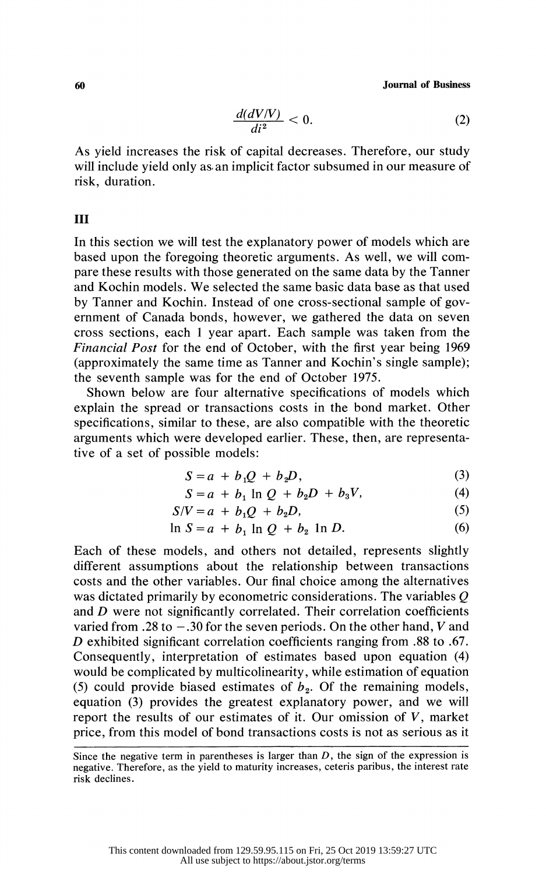60 Journal of Business

$$
\frac{d(dV/V)}{di^2} < 0.\tag{2}
$$

 As yield increases the risk of capital decreases. Therefore, our study will include yield only as an implicit factor subsumed in our measure of risk, duration.

#### III

 In this section we will test the explanatory power of models which are based upon the foregoing theoretic arguments. As well, we will com pare these results with those generated on the same data by the Tanner and Kochin models. We selected the same basic data base as that used by Tanner and Kochin. Instead of one cross-sectional sample of gov ernment of Canada bonds, however, we gathered the data on seven cross sections, each 1 year apart. Each sample was taken from the Financial Post for the end of October, with the first year being 1969 (approximately the same time as Tanner and Kochin's single sample); the seventh sample was for the end of October 1975.

 Shown below are four alternative specifications of models which explain the spread or transactions costs in the bond market. Other specifications, similar to these, are also compatible with the theoretic arguments which were developed earlier. These, then, are representa tive of a set of possible models:

$$
S = a + b_1 Q + b_2 D, \tag{3}
$$

$$
S = a + b_1 \ln Q + b_2 D + b_3 V, \tag{4}
$$

$$
S/V = a + b_1 Q + b_2 D,
$$
  
(5)

$$
\ln S = a + b_1 \ln Q + b_2 \ln D. \tag{6}
$$

 Each of these models, and others not detailed, represents slightly different assumptions about the relationship between transactions costs and the other variables. Our final choice among the alternatives was dictated primarily by econometric considerations. The variables Q and D were not significantly correlated. Their correlation coefficients varied from .28 to  $-.30$  for the seven periods. On the other hand, V and D exhibited significant correlation coefficients ranging from .88 to .67. Consequently, interpretation of estimates based upon equation (4) would be complicated by multicolinearity, while estimation of equation (5) could provide biased estimates of  $b_2$ . Of the remaining models, equation (3) provides the greatest explanatory power, and we will report the results of our estimates of it. Our omission of  $V$ , market price, from this model of bond transactions costs is not as serious as it

Since the negative term in parentheses is larger than  $D$ , the sign of the expression is negative. Therefore, as the yield to maturity increases, ceteris paribus, the interest rate risk declines.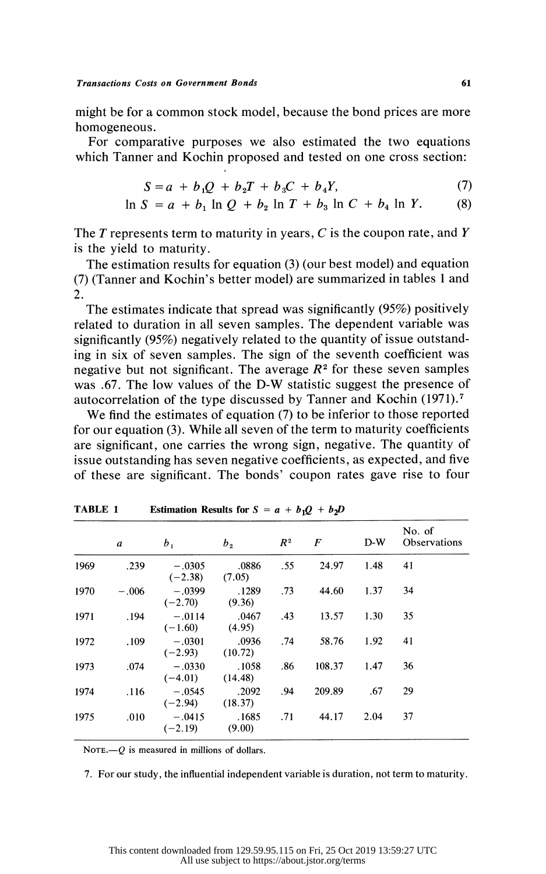might be for a common stock model, because the bond prices are more homogeneous.

 For comparative purposes we also estimated the two equations which Tanner and Kochin proposed and tested on one cross section:

$$
S = a + b_1 Q + b_2 T + b_3 C + b_4 Y,
$$
 (7)

$$
\ln S = a + b_1 \ln Q + b_2 \ln T + b_3 \ln C + b_4 \ln Y. \tag{8}
$$

The  $T$  represents term to maturity in years,  $C$  is the coupon rate, and  $Y$ is the yield to maturity.

 The estimation results for equation (3) (our best model) and equation (7) (Tanner and Kochin's better model) are summarized in tables 1 and 2.

 The estimates indicate that spread was significantly (95%) positively related to duration in all seven samples. The dependent variable was significantly (95%) negatively related to the quantity of issue outstand ing in six of seven samples. The sign of the seventh coefficient was negative but not significant. The average  $R<sup>2</sup>$  for these seven samples was .67. The low values of the D-W statistic suggest the presence of autocorrelation of the type discussed by Tanner and Kochin (1971).7

 We find the estimates of equation (7) to be inferior to those reported for our equation (3). While all seven of the term to maturity coefficients are significant, one carries the wrong sign, negative. The quantity of issue outstanding has seven negative coefficients, as expected, and five of these are significant. The bonds' coupon rates gave rise to four

|      | a       | $b_{1}$               | b <sub>2</sub>   | R <sup>2</sup> | F      | $D-W$ | No. of<br>Observations |
|------|---------|-----------------------|------------------|----------------|--------|-------|------------------------|
| 1969 | .239    | $-.0305$<br>$(-2.38)$ | .0886<br>(7.05)  | .55            | 24.97  | 1.48  | 41                     |
| 1970 | $-.006$ | $-.0399$<br>$(-2.70)$ | .1289<br>(9.36)  | .73            | 44.60  | 1.37  | 34                     |
| 1971 | .194    | $-.0114$<br>$(-1.60)$ | .0467<br>(4.95)  | .43            | 13.57  | 1.30  | 35                     |
| 1972 | .109    | $-.0301$<br>$(-2.93)$ | .0936<br>(10.72) | .74            | 58.76  | 1.92  | 41                     |
| 1973 | .074    | $-.0330$<br>$(-4.01)$ | .1058<br>(14.48) | .86            | 108.37 | 1.47  | 36                     |
| 1974 | .116    | $-.0545$<br>$(-2.94)$ | .2092<br>(18.37) | .94            | 209.89 | .67   | 29                     |
| 1975 | .010    | $-.0415$<br>$(-2.19)$ | .1685<br>(9.00)  | .71            | 44.17  | 2.04  | 37                     |

TABLE 1 Estimation Results for  $S = a + b_1Q + b_2D$ 

NOTE $-Q$  is measured in millions of dollars.

7. For our study, the influential independent variable is duration, not term to maturity.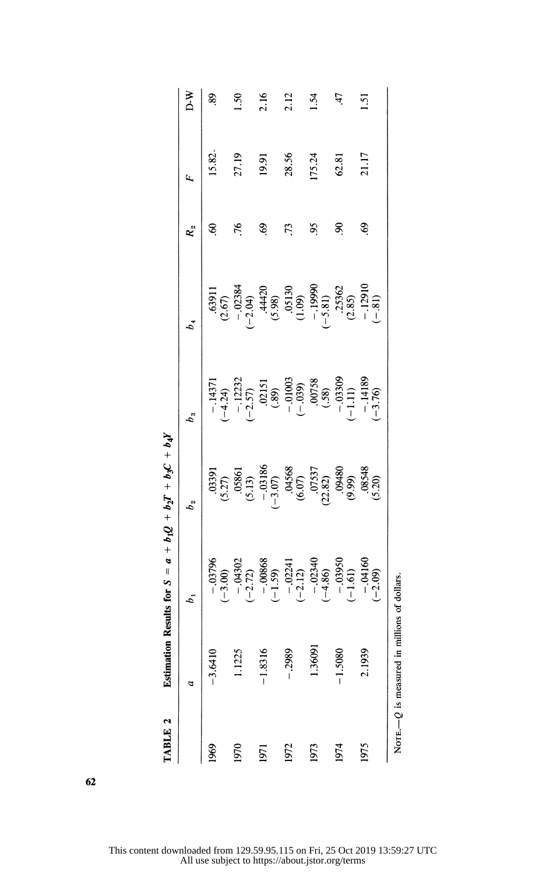| TABLE 2 | Estimation                                    |                         | Results for $S = a + b_1Q + b_2T + b_3C + b_4Y$                                                |                                                                                                  |                                                                                                               |               |        |                |
|---------|-----------------------------------------------|-------------------------|------------------------------------------------------------------------------------------------|--------------------------------------------------------------------------------------------------|---------------------------------------------------------------------------------------------------------------|---------------|--------|----------------|
|         | a                                             | b,                      | $b_{\frac{2}{3}}$                                                                              | $b_{3}$                                                                                          | $b_4$                                                                                                         | $R_{2}$       | Щ.     | N ⊄            |
| 1969    | $-3.6410$                                     | $-03796$<br>$(-3.00)$   | (5.27)                                                                                         | $-.1437$<br>$(-4.24)$                                                                            | .6391                                                                                                         | ಽ             | 15.82  | 89             |
| 1970    | 1.1225                                        | $-04302$<br>$(-2.72)$   | (5.13)                                                                                         |                                                                                                  |                                                                                                               | 76            | 27.19  | $\frac{50}{2}$ |
| 1971    | $-1.8316$                                     | $-0.0868$<br>(-1.59)    |                                                                                                | $-12232$<br>$(-2.57)$<br>$(0215)$<br>$(089)$<br>$(-0.039)$<br>$(-0.039)$<br>$(0758)$<br>$(0758)$ | $(2.67)$<br>$(-2.04)$<br>$(4420)$<br>$(5.98)$<br>$(1.09)$<br>$(-5.81)$<br>$(-5.81)$<br>$(-5.81)$<br>$(-5.82)$ | S,            | 19.91  | 2.16           |
| 1972    | $-2989$                                       | $-02241$<br>$(-2.12)$   |                                                                                                |                                                                                                  |                                                                                                               | 73            | 28.56  | 2.12           |
| 1973    | 1.36091                                       | $-02340$<br>$(-4.86)$   |                                                                                                |                                                                                                  |                                                                                                               | $\frac{5}{2}$ | 175.24 | 1.54           |
| 1974    | $-1.5080$                                     | $-0.03950$<br>$(-1.61)$ | $-0.3186$<br>$(-3.07)$<br>$0.4568$<br>$(6.07)$<br>$0.7537$<br>$(22.82)$<br>$0.9480$<br>$0.999$ | $-1.11$                                                                                          |                                                                                                               | S.            | 62.81  | 47             |
| 1975    | 2.1939                                        | $-04160$<br>$(-2.09)$   | 08548<br>(5.20)                                                                                | $-1418$<br>$(-3.76)$                                                                             | $-12910$<br>$(-81)$                                                                                           | $\mathcal{S}$ | 21.17  | 5              |
|         | Nore $-$ O is measured in millions of dollars |                         |                                                                                                |                                                                                                  |                                                                                                               |               |        |                |

Estimation Results for  $S = a + b_1O + b_1T + b_2C + b_3T$ 

This content downloaded from 129.59.95.115 on Fri, 25 Oct 2019 13:59:27 UTC All use subject to https://about.jstor.org/terms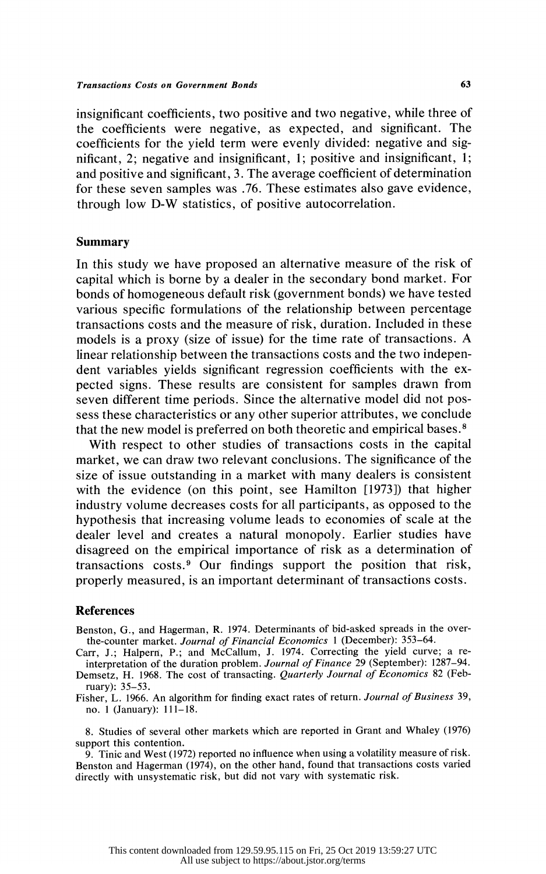insignificant coefficients, two positive and two negative, while three of the coefficients were negative, as expected, and significant. The coefficients for the yield term were evenly divided: negative and sig nificant, 2; negative and insignificant, 1; positive and insignificant, 1; and positive and significant, 3. The average coefficient of determination for these seven samples was .76. These estimates also gave evidence, through low D-W statistics, of positive autocorrelation.

## Summary

 In this study we have proposed an alternative measure of the risk of capital which is borne by a dealer in the secondary bond market. For bonds of homogeneous default risk (government bonds) we have tested various specific formulations of the relationship between percentage transactions costs and the measure of risk, duration. Included in these models is a proxy (size of issue) for the time rate of transactions. A linear relationship between the transactions costs and the two indepen dent variables yields significant regression coefficients with the ex pected signs. These results are consistent for samples drawn from seven different time periods. Since the alternative model did not pos sess these characteristics or any other superior attributes, we conclude that the new model is preferred on both theoretic and empirical bases.8

 With respect to other studies of transactions costs in the capital market, we can draw two relevant conclusions. The significance of the size of issue outstanding in a market with many dealers is consistent with the evidence (on this point, see Hamilton [1973]) that higher industry volume decreases costs for all participants, as opposed to the hypothesis that increasing volume leads to economies of scale at the dealer level and creates a natural monopoly. Earlier studies have disagreed on the empirical importance of risk as a determination of transactions costs.9 Our findings support the position that risk, properly measured, is an important determinant of transactions costs.

#### References

 Benston, G., and Hagerman, R. 1974. Determinants of bid-asked spreads in the over the-counter market. Journal of Financial Economics 1 (December): 353-64.

 Carr, J.; Halpern, P.; and McCallum, J. 1974. Correcting the yield curve; a re interpretation of the duration problem. Journal of Finance 29 (September): 1287-94.

Demsetz, H. 1968. The cost of transacting. Quarterly Journal of Economics 82 (February): 35-53.

Fisher, L. 1966. An algorithm for finding exact rates of return. Journal of Business 39, no. 1 (January): 111-18.

 8. Studies of several other markets which are reported in Grant and Whaley (1976) support this contention.

 9. Tinic and West (1972) reported no influence when using a volatility measure of risk. Benston and Hagerman (1974), on the other hand, found that transactions costs varied directly with unsystematic risk, but did not vary with systematic risk.